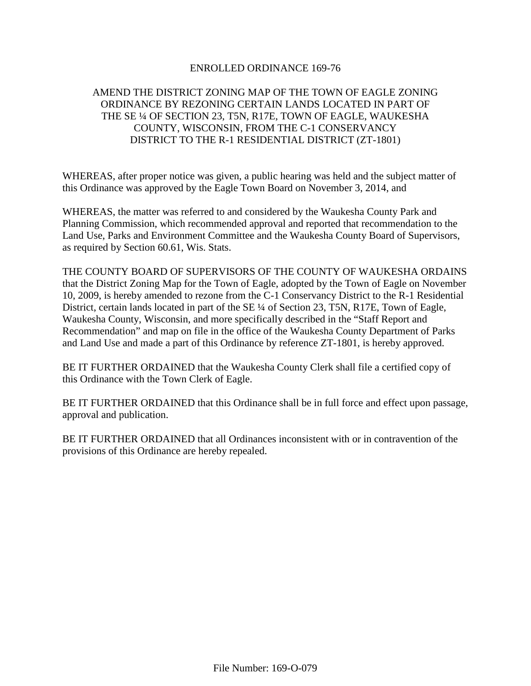# ENROLLED ORDINANCE 169-76

# AMEND THE DISTRICT ZONING MAP OF THE TOWN OF EAGLE ZONING ORDINANCE BY REZONING CERTAIN LANDS LOCATED IN PART OF THE SE ¼ OF SECTION 23, T5N, R17E, TOWN OF EAGLE, WAUKESHA COUNTY, WISCONSIN, FROM THE C-1 CONSERVANCY DISTRICT TO THE R-1 RESIDENTIAL DISTRICT (ZT-1801)

WHEREAS, after proper notice was given, a public hearing was held and the subject matter of this Ordinance was approved by the Eagle Town Board on November 3, 2014, and

WHEREAS, the matter was referred to and considered by the Waukesha County Park and Planning Commission, which recommended approval and reported that recommendation to the Land Use, Parks and Environment Committee and the Waukesha County Board of Supervisors, as required by Section 60.61, Wis. Stats.

THE COUNTY BOARD OF SUPERVISORS OF THE COUNTY OF WAUKESHA ORDAINS that the District Zoning Map for the Town of Eagle, adopted by the Town of Eagle on November 10, 2009, is hereby amended to rezone from the C-1 Conservancy District to the R-1 Residential District, certain lands located in part of the SE ¼ of Section 23, T5N, R17E, Town of Eagle, Waukesha County, Wisconsin, and more specifically described in the "Staff Report and Recommendation" and map on file in the office of the Waukesha County Department of Parks and Land Use and made a part of this Ordinance by reference ZT-1801, is hereby approved.

BE IT FURTHER ORDAINED that the Waukesha County Clerk shall file a certified copy of this Ordinance with the Town Clerk of Eagle.

BE IT FURTHER ORDAINED that this Ordinance shall be in full force and effect upon passage, approval and publication.

BE IT FURTHER ORDAINED that all Ordinances inconsistent with or in contravention of the provisions of this Ordinance are hereby repealed.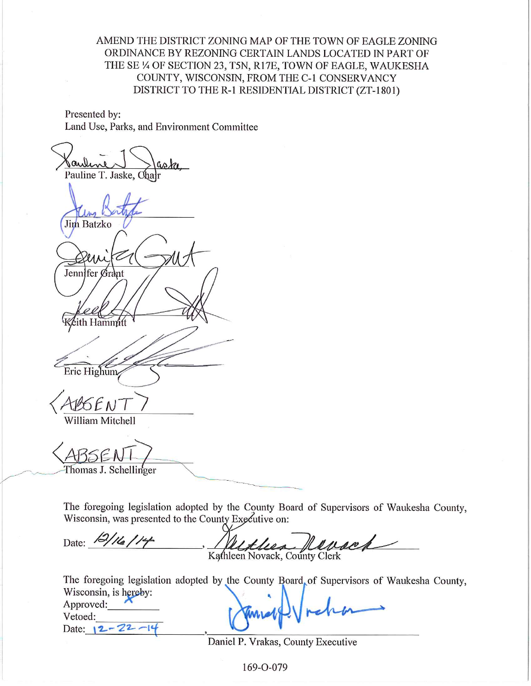AMEND THE DISTRICT ZONING MAP OF THE TOWN OF EAGLE ZONING ORDINANCE BY REZONING CERTAIN LANDS LOCATED IN PART OF THE SE 1/4 OF SECTION 23, T5N, R17E, TOWN OF EAGLE, WAUKESHA COUNTY, WISCONSIN, FROM THE C-1 CONSERVANCY DISTRICT TO THE R-1 RESIDENTIAL DISTRICT (ZT-1801)

Presented by: Land Use, Parks, and Environment Committee

aske Pauline T. Jaske. **Jim Batzko** Jennifer Grant ith Hammitt Eric Highum SEN William Mitchell

Thomas J. Schellinger

The foregoing legislation adopted by the County Board of Supervisors of Waukesha County, Wisconsin, was presented to the County Executive on:

Date: 12/16/14 Helder Hersch

The foregoing legislation adopted by the County Board of Supervisors of Waukesha County, Wisconsin, is hereby:

Approved: Vetoed: Date:  $12 - 22 - 14$ 

Daniel P. Vrakas, County Executive

169-0-079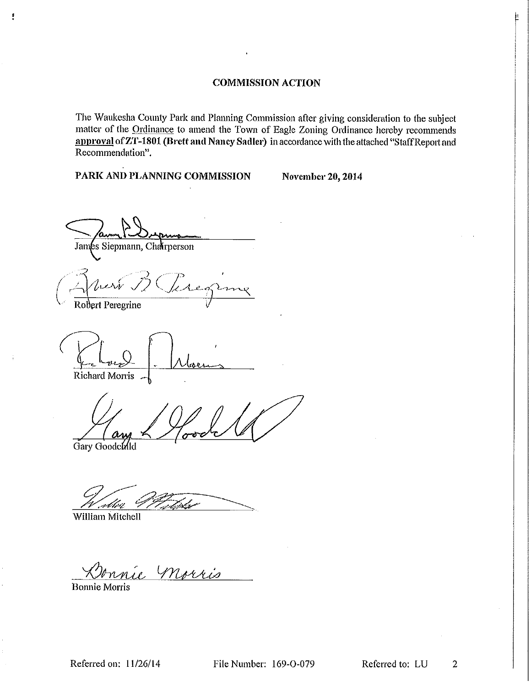# **COMMISSION ACTION**

The Waukesha County Park and Planning Commission after giving consideration to the subject matter of the Ordinance to amend the Town of Eagle Zoning Ordinance hereby recommends approval of ZT-1801 (Brett and Nancy Sadler) in accordance with the attached "Staff Report and Recommendation".

PARK AND PLANNING COMMISSION

**November 20, 2014** 

James Siepmann, Charperson

 $1.20$ 

Robert Peregrine

Ţ

Richard Morris

Gary Goodchild

William Mitchell

re morris

**Bonnie Morris**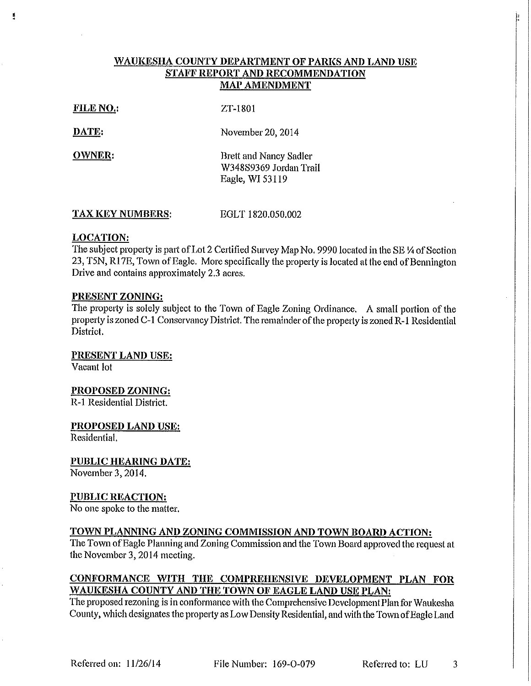# WAUKESHA COUNTY DEPARTMENT OF PARKS AND LAND USE STAFF REPORT AND RECOMMENDATION **MAP AMENDMENT**

**FILE NO.:** 

ZT-1801

DATE:

Ľ

November 20, 2014

**OWNER:** 

**Brett and Nancy Sadler** W348S9369 Jordan Trail Eagle, WI 53119

**TAX KEY NUMBERS:** EGLT 1820,050,002

# **LOCATION:**

The subject property is part of Lot 2 Certified Survey Map No. 9990 located in the SE 1/4 of Section 23, T5N, R17E, Town of Eagle. More specifically the property is located at the end of Bennington Drive and contains approximately 2.3 acres.

## PRESENT ZONING:

The property is solely subject to the Town of Eagle Zoning Ordinance. A small portion of the property is zoned C-1 Conservancy District. The remainder of the property is zoned R-1 Residential District.

PRESENT LAND USE:

Vacant lot

PROPOSED ZONING:

R-1 Residential District.

PROPOSED LAND USE:

Residential.

**PUBLIC HEARING DATE:** 

November 3, 2014.

**PUBLIC REACTION:** 

No one spoke to the matter.

# TOWN PLANNING AND ZONING COMMISSION AND TOWN BOARD ACTION:

The Town of Eagle Planning and Zoning Commission and the Town Board approved the request at the November 3, 2014 meeting.

# CONFORMANCE WITH THE COMPREHENSIVE DEVELOPMENT PLAN FOR WAUKESHA COUNTY AND THE TOWN OF EAGLE LAND USE PLAN:

The proposed rezoning is in conformance with the Comprehensive Development Plan for Waukesha County, which designates the property as Low Density Residential, and with the Town of Eagle Land

File Number: 169-O-079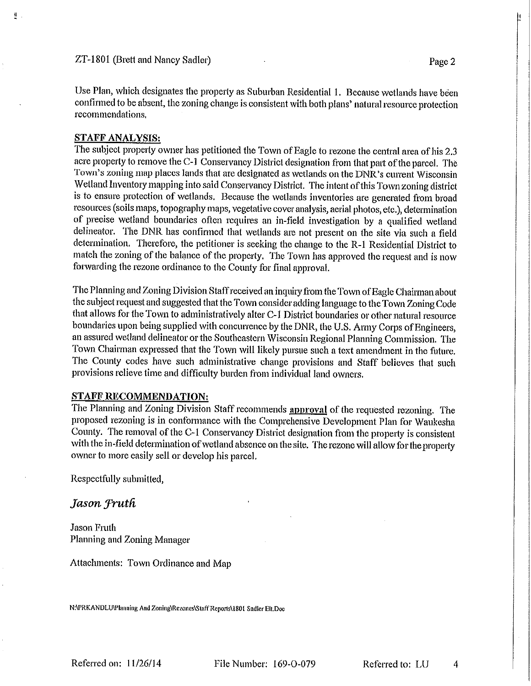Use Plan, which designates the property as Suburban Residential 1. Because wetlands have been confirmed to be absent, the zoning change is consistent with both plans' natural resource protection recommendations.

## **STAFF ANALYSIS:**

型)

The subject property owner has petitioned the Town of Eagle to rezone the central area of his 2.3 acre property to remove the C-1 Conservancy District designation from that part of the parcel. The Town's zoning map places lands that are designated as wetlands on the DNR's current Wisconsin Wetland Inventory mapping into said Conservancy District. The intent of this Town zoning district is to ensure protection of wetlands. Because the wetlands inventories are generated from broad resources (soils maps, topography maps, vegetative cover analysis, aerial photos, etc.), determination of precise wetland boundaries often requires an in-field investigation by a qualified wetland delineator. The DNR has confirmed that wetlands are not present on the site via such a field determination. Therefore, the petitioner is seeking the change to the R-1 Residential District to match the zoning of the balance of the property. The Town has approved the request and is now forwarding the rezone ordinance to the County for final approval.

The Planning and Zoning Division Staff received an inquiry from the Town of Eagle Chairman about the subject request and suggested that the Town consider adding language to the Town Zoning Code that allows for the Town to administratively alter C-1 District boundaries or other natural resource boundaries upon being supplied with concurrence by the DNR, the U.S. Army Corps of Engineers, an assured wetland delineator or the Southeastern Wisconsin Regional Planning Commission. The Town Chairman expressed that the Town will likely pursue such a text amendment in the future. The County codes have such administrative change provisions and Staff believes that such provisions relieve time and difficulty burden from individual land owners.

## **STAFF RECOMMENDATION:**

The Planning and Zoning Division Staff recommends approval of the requested rezoning. The proposed rezoning is in conformance with the Comprehensive Development Plan for Waukesha County. The removal of the C-1 Conservancy District designation from the property is consistent with the in-field determination of wetland absence on the site. The rezone will allow for the property owner to more easily sell or develop his parcel.

Respectfully submitted,

## Jason Fruth

Jason Fruth Planning and Zoning Manager

Attachments: Town Ordinance and Map

N:\PRKANDLU\Planning And Zoning\Rezones\Staff Reports\1801 Sadler Elt.Doc

Referred on: 11/26/14

File Number: 169-O-079

Referred to: LU 4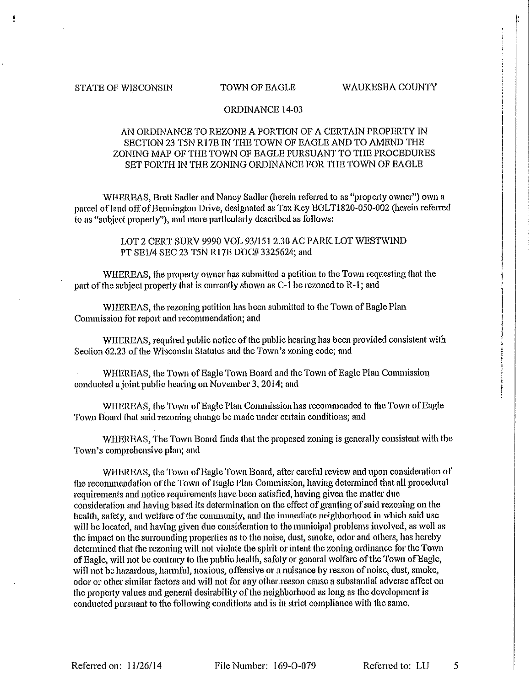#### **STATE OF WISCONSIN**

#### TOWN OF EAGLE

#### WAUKESHA COUNTY

## ORDINANCE 14-03

# AN ORDINANCE TO REZONE A PORTION OF A CERTAIN PROPERTY IN SECTION 23 T5N R17E IN THE TOWN OF EAGLE AND TO AMEND THE ZONING MAP OF THE TOWN OF EAGLE PURSUANT TO THE PROCEDURES SET FORTH IN THE ZONING ORDINANCE FOR THE TOWN OF EAGLE

WHEREAS, Brett Sadler and Nancy Sadler (herein referred to as "property owner") own a parcel of land off of Bennington Drive, designated as Tax Key EGLT1820-050-002 (herein referred to as "subject property"), and more particularly described as follows:

> LOT 2 CERT SURV 9990 VOL 93/151 2.30 AC PARK LOT WESTWIND PT SE1/4 SEC 23 T5N R17E DOC# 3325624; and

WHEREAS, the property owner has submitted a petition to the Town requesting that the part of the subject property that is currently shown as C-1 be rezoned to R-1; and

WHEREAS, the rezoning petition has been submitted to the Town of Eagle Plan Commission for report and recommendation; and

WHEREAS, required public notice of the public hearing has been provided consistent with Section 62.23 of the Wisconsin Statutes and the Town's zoning code; and

WHEREAS, the Town of Eagle Town Board and the Town of Eagle Plan Commission conducted a joint public hearing on November 3, 2014; and

WHEREAS, the Town of Eagle Plan Commission has recommended to the Town of Eagle Town Board that said rezoning change be made under certain conditions; and

WHEREAS, The Town Board finds that the proposed zoning is generally consistent with the Town's comprehensive plan; and

WHEREAS, the Town of Eagle Town Board, after careful review and upon consideration of the recommendation of the Town of Eagle Plan Commission, having determined that all procedural requirements and notice requirements have been satisfied, having given the matter due consideration and having based its determination on the effect of granting of said rezoning on the health, safety, and welfare of the community, and the immediate neighborhood in which said use will be located, and having given due consideration to the municipal problems involved, as well as the impact on the surrounding properties as to the noise, dust, smoke, odor and others, has hereby determined that the rezoning will not violate the spirit or intent the zoning ordinance for the Town of Eagle, will not be contrary to the public health, safety or general welfare of the Town of Eagle, will not be hazardous, harmful, noxious, offensive or a nuisance by reason of noise, dust, smoke, odor or other similar factors and will not for any other reason cause a substantial adverse affect on the property values and general desirability of the neighborhood as long as the development is conducted pursuant to the following conditions and is in strict compliance with the same.

File Number: 169-0-079

Referred to: LU 5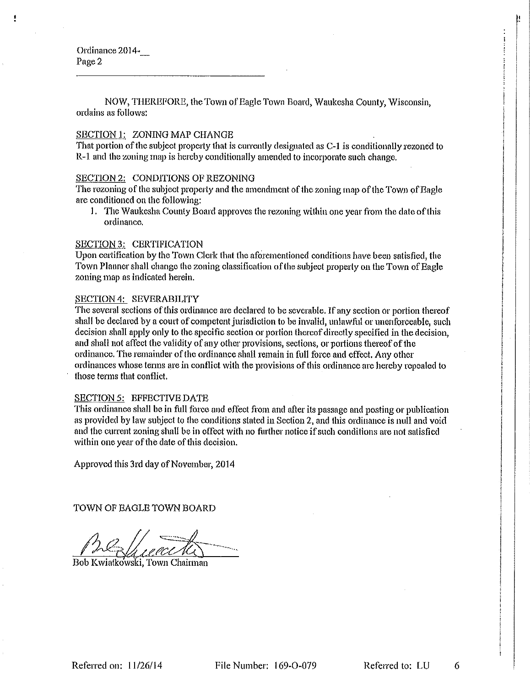Ordinance 2014-Page 2

NOW, THEREFORE, the Town of Eagle Town Board, Waukesha County, Wisconsin, ordains as follows:

### SECTION 1: ZONING MAP CHANGE

That portion of the subject property that is currently designated as C-1 is conditionally rezoned to R-1 and the zoning map is hereby conditionally amended to incorporate such change,

#### SECTION 2: CONDITIONS OF REZONING

The rezoning of the subject property and the amendment of the zoning map of the Town of Bagle are conditioned on the following:

1. The Waukesha County Board approves the rezoning within one year from the date of this ordinance.

## **SECTION 3: CERTIFICATION**

Upon certification by the Town Clerk that the aforementioned conditions have been satisfied, the Town Planner shall change the zoning classification of the subject property on the Town of Eagle zoning map as indicated herein.

#### SECTION 4: SEVERABILITY

The several sections of this ordinance are declared to be severable. If any section or portion thereof shall be declared by a court of competent jurisdiction to be invalid, unlawful or unenforceable, such decision shall apply only to the specific section or portion thereof directly specified in the decision, and shall not affect the validity of any other provisions, sections, or portions thereof of the ordinance. The remainder of the ordinance shall remain in full force and effect. Any other ordinances whose terms are in conflict with the provisions of this ordinance are hereby repealed to those terms that conflict.

#### SECTION 5: EFFECTIVE DATE

This ordinance shall be in full force and effect from and after its passage and posting or publication as provided by law subject to the conditions stated in Section 2, and this ordinance is null and void and the current zoning shall be in effect with no further notice if such conditions are not satisfied within one year of the date of this decision.

Approved this 3rd day of November, 2014

TOWN OF EAGLE TOWN BOARD

Bob Kwiatkowski, Town Chairman

Referred to: LU

6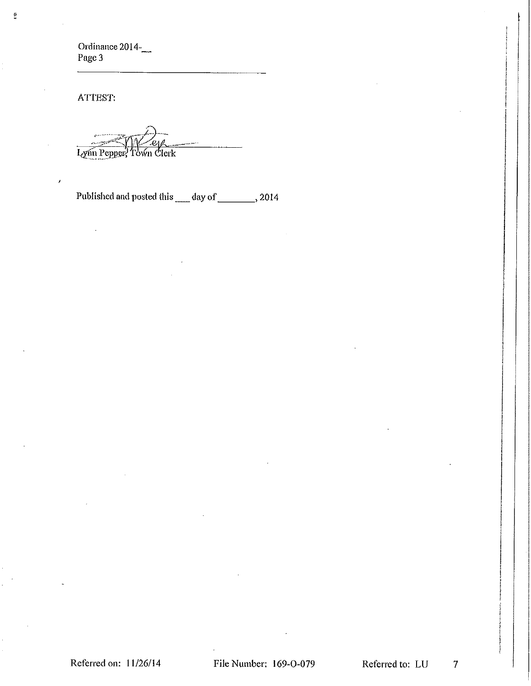Ordinance 2014-<br>Page 3

ATTEST:

 $\lambda$ 

ij.

Lynn Pepper, Town Clerk

Published and posted this \_\_\_\_ day of \_\_\_\_\_\_\_\_, 2014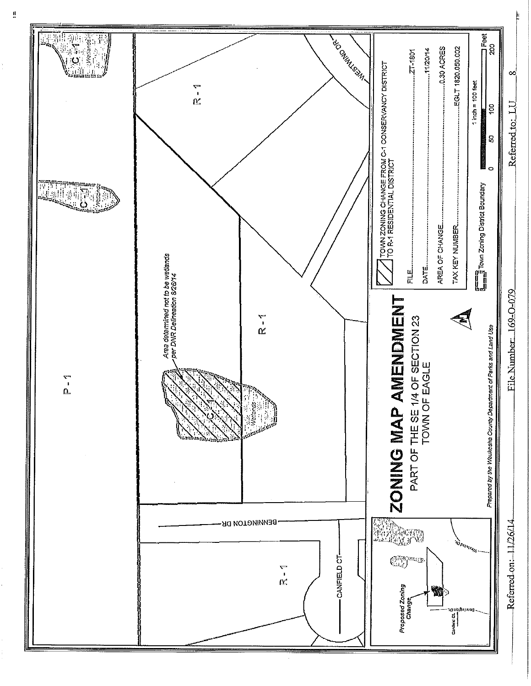